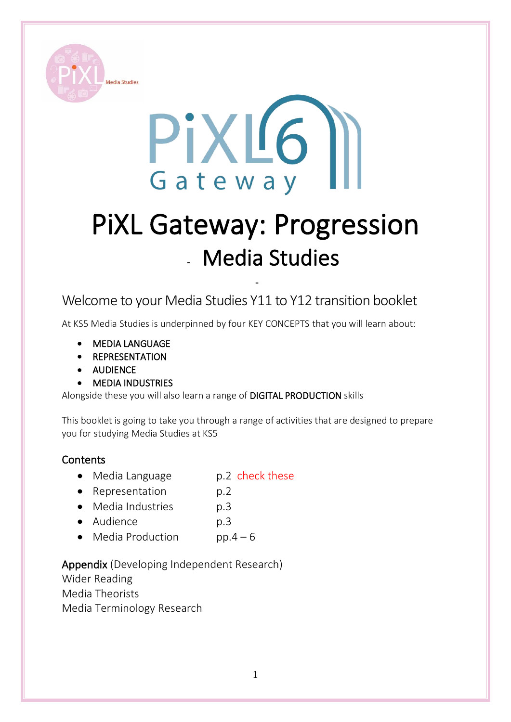



# PiXL Gateway: Progression **-** Media Studies

**-**

Welcome to your Media Studies Y11 to Y12 transition booklet

At KS5 Media Studies is underpinned by four KEY CONCEPTS that you will learn about:

- MEDIA LANGUAGE
- **REPRESENTATION**
- AUDIENCE
- **MEDIA INDUSTRIES**

Alongside these you will also learn a range of DIGITAL PRODUCTION skills

This booklet is going to take you through a range of activities that are designed to prepare you for studying Media Studies at KS5

#### **Contents**

- Media Language p.2 check these
- Representation p.2
- Media Industries p.3
- Audience p.3
- Media Production pp. $4 6$

Appendix (Developing Independent Research)

Wider Reading Media Theorists Media Terminology Research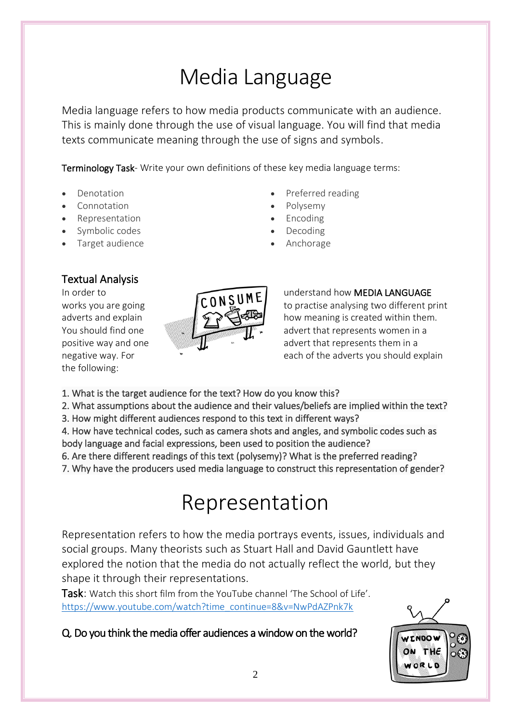# Media Language

Media language refers to how media products communicate with an audience. This is mainly done through the use of visual language. You will find that media texts communicate meaning through the use of signs and symbols.

Terminology Task- Write your own definitions of these key media language terms:

- Denotation
- Connotation
- Representation
- Symbolic codes
- Target audience

## Textual Analysis

the following:



Preferred reading

- Polysemy
- Encoding
- Decoding
- Anchorage

#### In order to  $\overline{CONSUB}$  understand how MEDIA LANGUAGE works you are going  $\begin{pmatrix} 0 & 0 \\ 0 & 1 \end{pmatrix}$  to practise analysing two different print adverts and explain  $\mathcal{L}$   $\mathcal{L}$   $\mathcal{L}$   $\mathcal{L}$  how meaning is created within them. You should find one  $\overline{\mathbb{R}}$  advert that represents women in a positive way and one and  $\mathbb{Z}$  advert that represents them in a negative way. For **Exercise 20** For the adverts you should explain

- 1. What is the target audience for the text? How do you know this?
- 2. What assumptions about the audience and their values/beliefs are implied within the text?
- 3. How might different audiences respond to this text in different ways?

4. How have technical codes, such as camera shots and angles, and symbolic codes such as body language and facial expressions, been used to position the audience?

6. Are there different readings of this text (polysemy)? What is the preferred reading?

7. Why have the producers used media language to construct this representation of gender?

# Representation

Representation refers to how the media portrays events, issues, individuals and social groups. Many theorists such as Stuart Hall and David Gauntlett have explored the notion that the media do not actually reflect the world, but they shape it through their representations.

Task: Watch this short film from the YouTube channel 'The School of Life'. [https://www.youtube.com/watch?time\\_continue=8&v=NwPdAZPnk7k](https://www.youtube.com/watch?time_continue=8&v=NwPdAZPnk7k)

## Q. Do you think the media offer audiences a window on the world?

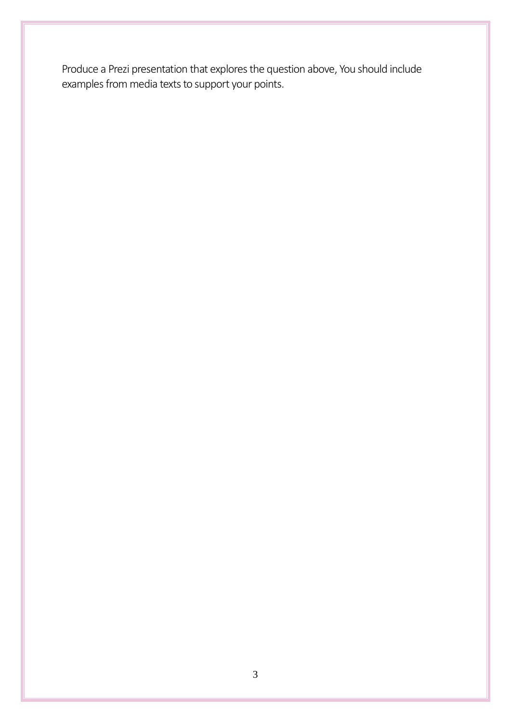Produce a Prezi presentation that explores the question above, You should include examples from media texts to support your points.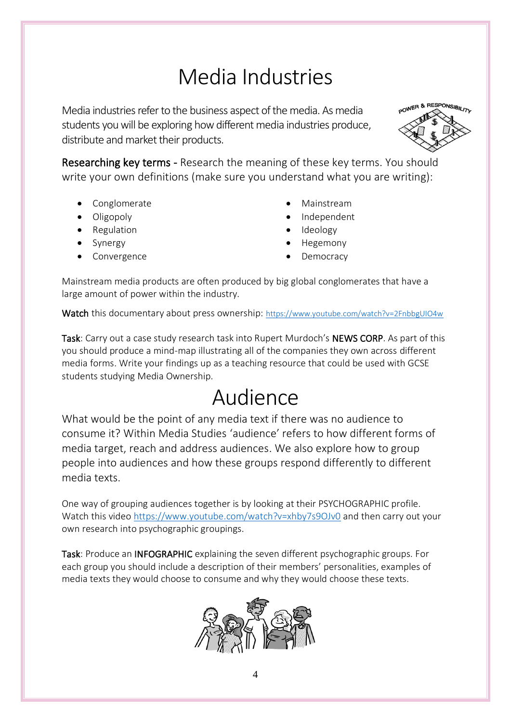# Media Industries

Media industries refer to the business aspect of the media. As media students you will be exploring how different media industries produce, distribute and market their products.



Researching key terms - Research the meaning of these key terms. You should write your own definitions (make sure you understand what you are writing):

- Conglomerate
- Oligopoly
- Regulation
- Synergy
- **Convergence**
- Mainstream
- Independent
- Ideology
- Hegemony
- **Democracy**

Mainstream media products are often produced by big global conglomerates that have a large amount of power within the industry.

Watch this documentary about press ownership: <https://www.youtube.com/watch?v=2FnbbgUIO4w>

Task: Carry out a case study research task into Rupert Murdoch's NEWS CORP. As part of this you should produce a mind-map illustrating all of the companies they own across different media forms. Write your findings up as a teaching resource that could be used with GCSE students studying Media Ownership.

# Audience

What would be the point of any media text if there was no audience to consume it? Within Media Studies 'audience' refers to how different forms of media target, reach and address audiences. We also explore how to group people into audiences and how these groups respond differently to different media texts.

One way of grouping audiences together is by looking at their PSYCHOGRAPHIC profile. Watch this video<https://www.youtube.com/watch?v=xhby7s9OJv0> and then carry out your own research into psychographic groupings.

Task: Produce an INFOGRAPHIC explaining the seven different psychographic groups. For each group you should include a description of their members' personalities, examples of media texts they would choose to consume and why they would choose these texts.

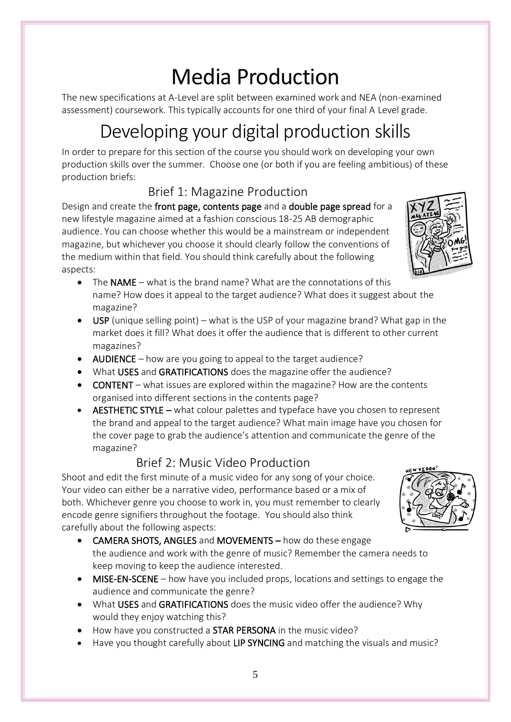# Media Production

The new specifications at A-Level are split between examined work and NEA (non-examined assessment) coursework. This typically accounts for one third of your final A Level grade.

# Developing your digital production skills

In order to prepare for this section of the course you should work on developing your own production skills over the summer. Choose one (or both if you are feeling ambitious) of these production briefs:

## Brief 1: Magazine Production

Design and create the front page, contents page and a double page spread for a new lifestyle magazine aimed at a fashion conscious 18-25 AB demographic audience. You can choose whether this would be a mainstream or independent magazine, but whichever you choose it should clearly follow the conventions of the medium within that field. You should think carefully about the following aspects:

- The NAME what is the brand name? What are the connotations of this name? How does it appeal to the target audience? What does it suggest about the magazine?
- USP (unique selling point) what is the USP of your magazine brand? What gap in the market does it fill? What does it offer the audience that is different to other current magazines?
- AUDIENCE how are you going to appeal to the target audience?
- What USES and GRATIFICATIONS does the magazine offer the audience?
- CONTENT what issues are explored within the magazine? How are the contents organised into different sections in the contents page?
- AESTHETIC STYLE what colour palettes and typeface have you chosen to represent the brand and appeal to the target audience? What main image have you chosen for the cover page to grab the audience's attention and communicate the genre of the magazine?

## Brief 2: Music Video Production

Shoot and edit the first minute of a music video for any song of your choice. Your video can either be a narrative video, performance based or a mix of both. Whichever genre you choose to work in, you must remember to clearly encode genre signifiers throughout the footage. You should also think carefully about the following aspects:

- CAMERA SHOTS, ANGLES and MOVEMENTS how do these engage the audience and work with the genre of music? Remember the camera needs to keep moving to keep the audience interested.
- MISE-EN-SCENE how have you included props, locations and settings to engage the audience and communicate the genre?
- What USES and GRATIFICATIONS does the music video offer the audience? Why would they enjoy watching this?
- How have you constructed a **STAR PERSONA** in the music video?
- Have you thought carefully about LIP SYNCING and matching the visuals and music?



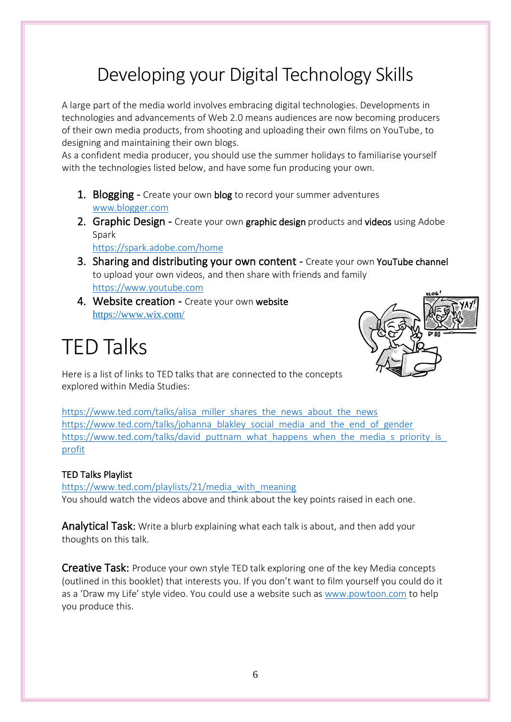## Developing your Digital Technology Skills

A large part of the media world involves embracing digital technologies. Developments in technologies and advancements of Web 2.0 means audiences are now becoming producers of their own media products, from shooting and uploading their own films on YouTube, to designing and maintaining their own blogs.

As a confident media producer, you should use the summer holidays to familiarise yourself with the technologies listed below, and have some fun producing your own.

- 1. Blogging Create your own blog to record your summer adventures [www.blogger.com](http://www.blogger.com/)
- 2. Graphic Design Create your own graphic design products and videos using Adobe Spark

<https://spark.adobe.com/home>

- 3. Sharing and distributing your own content Create your own YouTube channel to upload your own videos, and then share with friends and family [https://www.youtube.com](https://www.youtube.com/)
- 4. Website creation Create your own website <https://www.wix.com/>

# TED Talks



Here is a list of links to TED talks that are connected to the concepts explored within Media Studies:

[https://www.ted.com/talks/alisa\\_miller\\_shares\\_the\\_news\\_about\\_the\\_news](https://www.ted.com/talks/alisa_miller_shares_the_news_about_the_news) [https://www.ted.com/talks/johanna\\_blakley\\_social\\_media\\_and\\_the\\_end\\_of\\_gender](https://www.ted.com/talks/johanna_blakley_social_media_and_the_end_of_gender) https://www.ted.com/talks/david\_puttnam\_what\_happens\_when\_the\_media\_s\_priority\_is [profit](https://www.ted.com/talks/david_puttnam_what_happens_when_the_media_s_priority_is_profit)

#### TED Talks Playlist

[https://www.ted.com/playlists/21/media\\_with\\_meaning](https://www.ted.com/playlists/21/media_with_meaning) You should watch the videos above and think about the key points raised in each one.

Analytical Task: Write a blurb explaining what each talk is about, and then add your thoughts on this talk.

Creative Task: Produce your own style TED talk exploring one of the key Media concepts (outlined in this booklet) that interests you. If you don't want to film yourself you could do it as a 'Draw my Life' style video. You could use a website such as [www.powtoon.com](http://www.powtoon.com/) to help you produce this.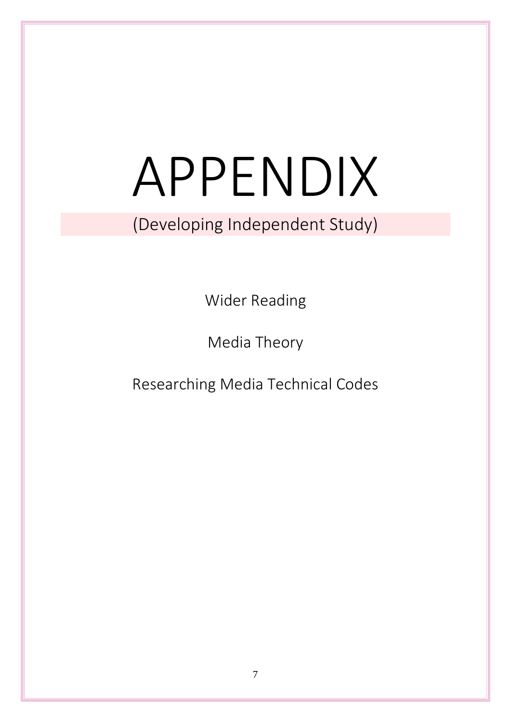# APPENDIX

## (Developing Independent Study)

Wider Reading

Media Theory

Researching Media Technical Codes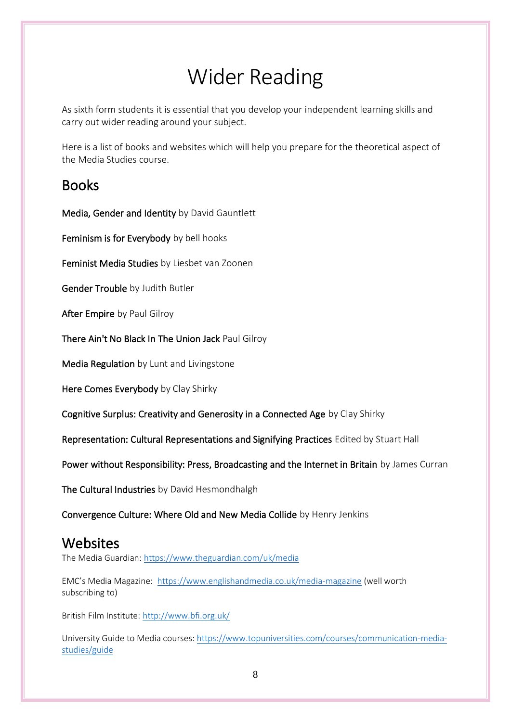# Wider Reading

As sixth form students it is essential that you develop your independent learning skills and carry out wider reading around your subject.

Here is a list of books and websites which will help you prepare for the theoretical aspect of the Media Studies course.

## **Books**

Media, Gender and Identity by David Gauntlett

Feminism is for Everybody by bell hooks

Feminist Media Studies by Liesbet van Zoonen

Gender Trouble by Judith Butler

After Empire by Paul Gilroy

There Ain't No Black In The Union Jack Paul Gilroy

Media Regulation by Lunt and Livingstone

Here Comes Everybody by Clay Shirky

Cognitive Surplus: Creativity and Generosity in a Connected Age by Clay Shirky

Representation: Cultural Representations and Signifying Practices Edited by Stuart Hall

Power without Responsibility: Press, Broadcasting and the Internet in Britain by James Curran

The Cultural Industries by David Hesmondhalgh

Convergence Culture: Where Old and New Media Collide by Henry Jenkins

## Websites

The Media Guardian[: https://www.theguardian.com/uk/media](https://www.theguardian.com/uk/media)

EMC's Media Magazine: <https://www.englishandmedia.co.uk/media-magazine> (well worth subscribing to)

British Film Institute:<http://www.bfi.org.uk/>

University Guide to Media courses: [https://www.topuniversities.com/courses/communication-media](https://www.topuniversities.com/courses/communication-media-studies/guide)[studies/guide](https://www.topuniversities.com/courses/communication-media-studies/guide)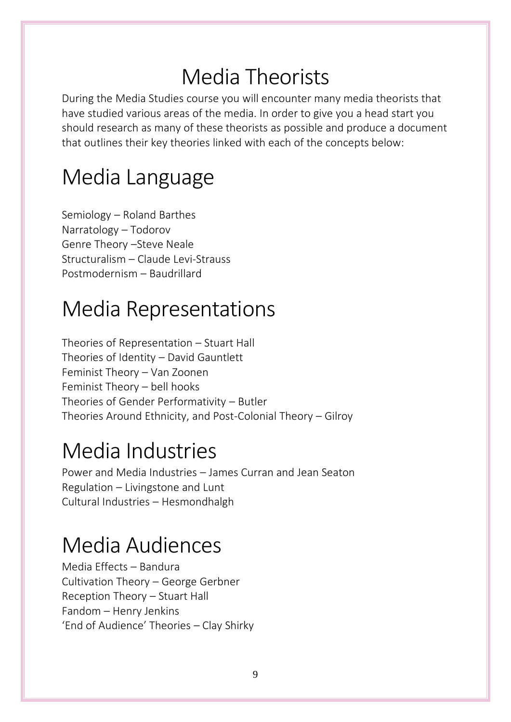# Media Theorists

During the Media Studies course you will encounter many media theorists that have studied various areas of the media. In order to give you a head start you should research as many of these theorists as possible and produce a document that outlines their key theories linked with each of the concepts below:

# Media Language

Semiology – Roland Barthes Narratology – Todorov Genre Theory –Steve Neale Structuralism – Claude Levi-Strauss Postmodernism – Baudrillard

# Media Representations

Theories of Representation – Stuart Hall Theories of Identity – David Gauntlett Feminist Theory – Van Zoonen Feminist Theory – bell hooks Theories of Gender Performativity – Butler Theories Around Ethnicity, and Post-Colonial Theory – Gilroy

# Media Industries

Power and Media Industries – James Curran and Jean Seaton Regulation – Livingstone and Lunt Cultural Industries – Hesmondhalgh

# Media Audiences

Media Effects – Bandura Cultivation Theory – George Gerbner Reception Theory – Stuart Hall Fandom – Henry Jenkins 'End of Audience' Theories – Clay Shirky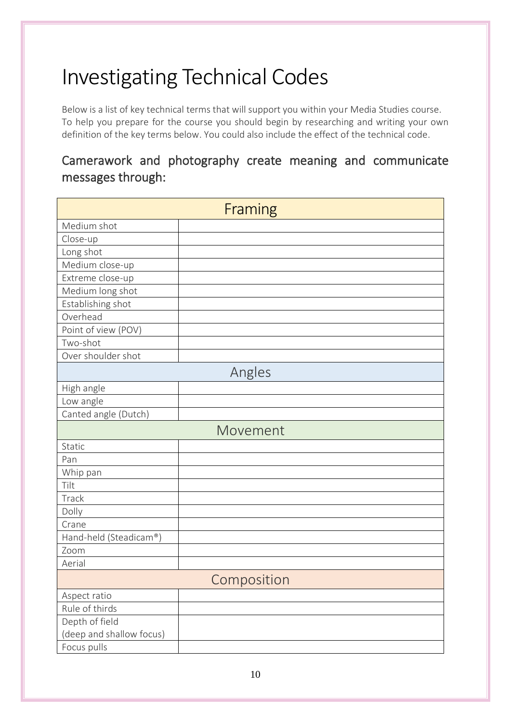# Investigating Technical Codes

Below is a list of key technical terms that will support you within your Media Studies course. To help you prepare for the course you should begin by researching and writing your own definition of the key terms below. You could also include the effect of the technical code.

## Camerawork and photography create meaning and communicate messages through:

| Framing                  |          |  |
|--------------------------|----------|--|
| Medium shot              |          |  |
| Close-up                 |          |  |
| Long shot                |          |  |
| Medium close-up          |          |  |
| Extreme close-up         |          |  |
| Medium long shot         |          |  |
| Establishing shot        |          |  |
| Overhead                 |          |  |
| Point of view (POV)      |          |  |
| Two-shot                 |          |  |
| Over shoulder shot       |          |  |
| Angles                   |          |  |
| High angle               |          |  |
| Low angle                |          |  |
| Canted angle (Dutch)     |          |  |
|                          | Movement |  |
| Static                   |          |  |
| Pan                      |          |  |
| Whip pan                 |          |  |
| Tilt                     |          |  |
| Track                    |          |  |
| Dolly                    |          |  |
| Crane                    |          |  |
| Hand-held (Steadicam®)   |          |  |
| Zoom                     |          |  |
| Aerial                   |          |  |
| Composition              |          |  |
| Aspect ratio             |          |  |
| Rule of thirds           |          |  |
| Depth of field           |          |  |
| (deep and shallow focus) |          |  |
| Focus pulls              |          |  |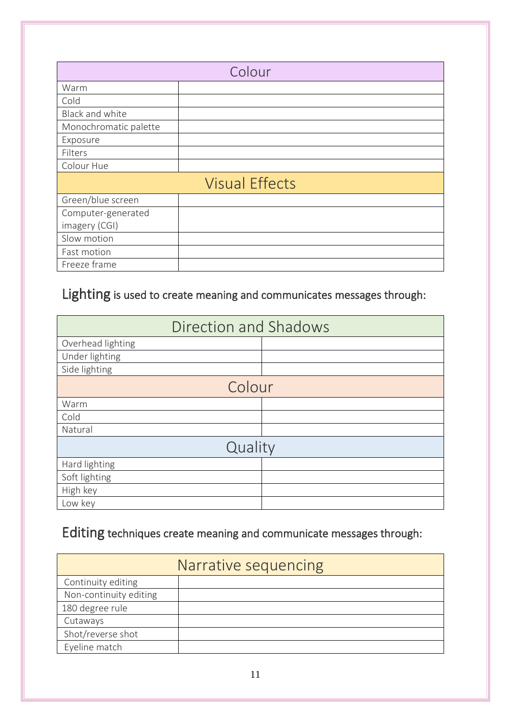| Colour                |  |  |
|-----------------------|--|--|
| Warm                  |  |  |
| Cold                  |  |  |
| Black and white       |  |  |
| Monochromatic palette |  |  |
| Exposure              |  |  |
| Filters               |  |  |
| Colour Hue            |  |  |
| <b>Visual Effects</b> |  |  |
| Green/blue screen     |  |  |
| Computer-generated    |  |  |
| imagery (CGI)         |  |  |
| Slow motion           |  |  |
| Fast motion           |  |  |
| Freeze frame          |  |  |

## Lighting is used to create meaning and communicates messages through:

| Direction and Shadows |  |  |  |
|-----------------------|--|--|--|
| Overhead lighting     |  |  |  |
| Under lighting        |  |  |  |
| Side lighting         |  |  |  |
| Colour                |  |  |  |
| Warm                  |  |  |  |
| Cold                  |  |  |  |
| Natural               |  |  |  |
| Quality               |  |  |  |
| Hard lighting         |  |  |  |
| Soft lighting         |  |  |  |
| High key              |  |  |  |
| Low key               |  |  |  |

## Editing techniques create meaning and communicate messages through:

| Narrative sequencing   |  |  |
|------------------------|--|--|
| Continuity editing     |  |  |
| Non-continuity editing |  |  |
| 180 degree rule        |  |  |
| Cutaways               |  |  |
| Shot/reverse shot      |  |  |
| Eyeline match          |  |  |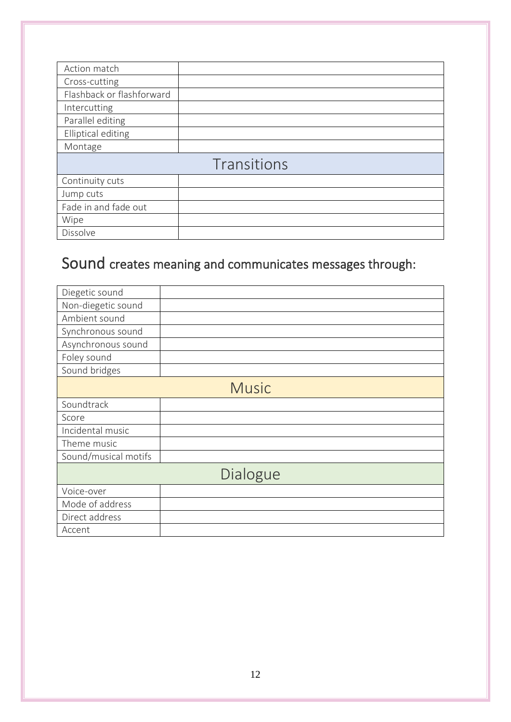| Action match              |  |  |
|---------------------------|--|--|
| Cross-cutting             |  |  |
| Flashback or flashforward |  |  |
| Intercutting              |  |  |
| Parallel editing          |  |  |
| Elliptical editing        |  |  |
| Montage                   |  |  |
| Transitions               |  |  |
| Continuity cuts           |  |  |
| Jump cuts                 |  |  |
| Fade in and fade out      |  |  |
| Wipe                      |  |  |
| Dissolve                  |  |  |

## Sound creates meaning and communicates messages through:

| Diegetic sound       |  |  |
|----------------------|--|--|
| Non-diegetic sound   |  |  |
| Ambient sound        |  |  |
| Synchronous sound    |  |  |
| Asynchronous sound   |  |  |
| Foley sound          |  |  |
| Sound bridges        |  |  |
| <b>Music</b>         |  |  |
| Soundtrack           |  |  |
| Score                |  |  |
| Incidental music     |  |  |
| Theme music          |  |  |
| Sound/musical motifs |  |  |
| Dialogue             |  |  |
| Voice-over           |  |  |
| Mode of address      |  |  |
| Direct address       |  |  |
| Accent               |  |  |